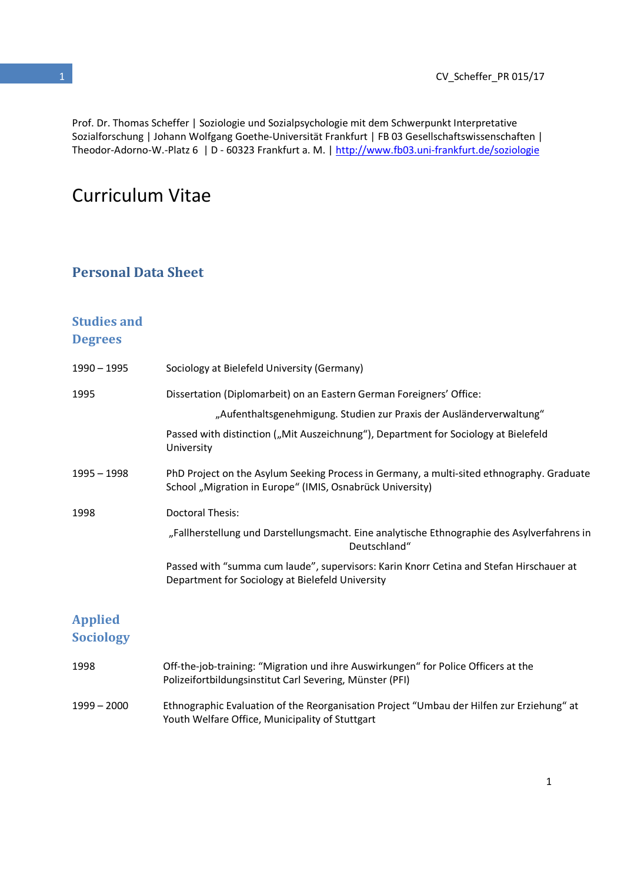Prof. Dr. Thomas Scheffer | Soziologie und Sozialpsychologie mit dem Schwerpunkt Interpretative Sozialforschung | Johann Wolfgang Goethe-Universität Frankfurt | FB 03 Gesellschaftswissenschaften | Theodor-Adorno-W.-Platz 6 | D - 60323 Frankfurt a. M. | http://www.fb03.uni-frankfurt.de/soziologie

# Curriculum Vitae

### Personal Data Sheet

# Studies and

#### **Degrees**

| $1990 - 1995$                      | Sociology at Bielefeld University (Germany)                                                                                                                                                                                                       |
|------------------------------------|---------------------------------------------------------------------------------------------------------------------------------------------------------------------------------------------------------------------------------------------------|
| 1995                               | Dissertation (Diplomarbeit) on an Eastern German Foreigners' Office:<br>"Aufenthaltsgenehmigung. Studien zur Praxis der Ausländerverwaltung"<br>Passed with distinction ("Mit Auszeichnung"), Department for Sociology at Bielefeld<br>University |
| $1995 - 1998$                      | PhD Project on the Asylum Seeking Process in Germany, a multi-sited ethnography. Graduate<br>School "Migration in Europe" (IMIS, Osnabrück University)                                                                                            |
| 1998                               | <b>Doctoral Thesis:</b><br>"Fallherstellung und Darstellungsmacht. Eine analytische Ethnographie des Asylverfahrens in<br>Deutschland"                                                                                                            |
|                                    | Passed with "summa cum laude", supervisors: Karin Knorr Cetina and Stefan Hirschauer at<br>Department for Sociology at Bielefeld University                                                                                                       |
| <b>Applied</b><br><b>Sociology</b> |                                                                                                                                                                                                                                                   |
| 1998                               | Off-the-job-training: "Migration und ihre Auswirkungen" for Police Officers at the<br>Polizeifortbildungsinstitut Carl Severing, Münster (PFI)                                                                                                    |

1999 – 2000 Ethnographic Evaluation of the Reorganisation Project "Umbau der Hilfen zur Erziehung" at Youth Welfare Office, Municipality of Stuttgart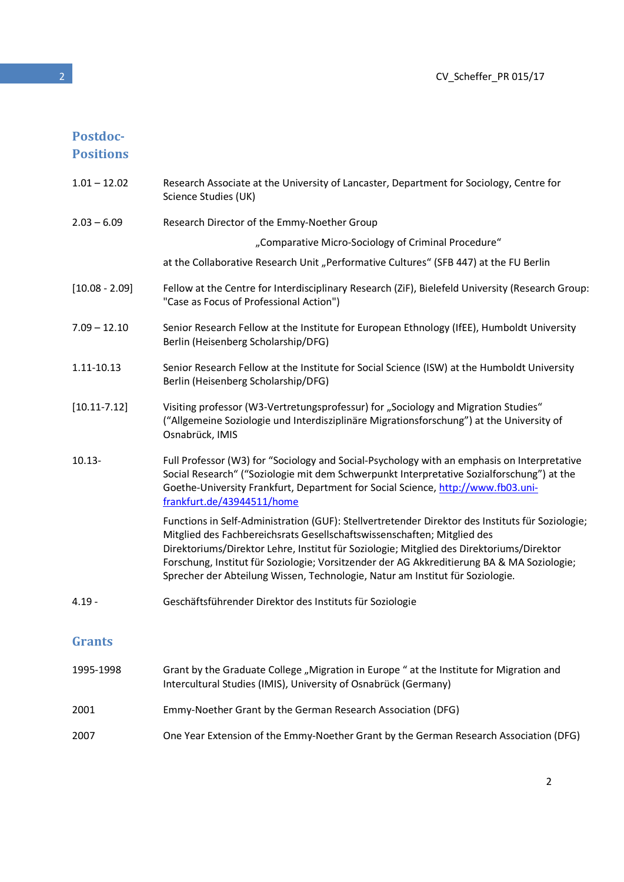# Postdoc-

Positions

| $1.01 - 12.02$   | Research Associate at the University of Lancaster, Department for Sociology, Centre for<br>Science Studies (UK)                                                                                                                                                                                                                                                                                                                                        |
|------------------|--------------------------------------------------------------------------------------------------------------------------------------------------------------------------------------------------------------------------------------------------------------------------------------------------------------------------------------------------------------------------------------------------------------------------------------------------------|
| $2.03 - 6.09$    | Research Director of the Emmy-Noether Group                                                                                                                                                                                                                                                                                                                                                                                                            |
|                  | "Comparative Micro-Sociology of Criminal Procedure"                                                                                                                                                                                                                                                                                                                                                                                                    |
|                  | at the Collaborative Research Unit "Performative Cultures" (SFB 447) at the FU Berlin                                                                                                                                                                                                                                                                                                                                                                  |
| $[10.08 - 2.09]$ | Fellow at the Centre for Interdisciplinary Research (ZiF), Bielefeld University (Research Group:<br>"Case as Focus of Professional Action")                                                                                                                                                                                                                                                                                                            |
| $7.09 - 12.10$   | Senior Research Fellow at the Institute for European Ethnology (IfEE), Humboldt University<br>Berlin (Heisenberg Scholarship/DFG)                                                                                                                                                                                                                                                                                                                      |
| 1.11-10.13       | Senior Research Fellow at the Institute for Social Science (ISW) at the Humboldt University<br>Berlin (Heisenberg Scholarship/DFG)                                                                                                                                                                                                                                                                                                                     |
| $[10.11 - 7.12]$ | Visiting professor (W3-Vertretungsprofessur) for "Sociology and Migration Studies"<br>("Allgemeine Soziologie und Interdisziplinäre Migrationsforschung") at the University of<br>Osnabrück, IMIS                                                                                                                                                                                                                                                      |
| $10.13 -$        | Full Professor (W3) for "Sociology and Social-Psychology with an emphasis on Interpretative<br>Social Research" ("Soziologie mit dem Schwerpunkt Interpretative Sozialforschung") at the<br>Goethe-University Frankfurt, Department for Social Science, http://www.fb03.uni-<br>frankfurt.de/43944511/home                                                                                                                                             |
|                  | Functions in Self-Administration (GUF): Stellvertretender Direktor des Instituts für Soziologie;<br>Mitglied des Fachbereichsrats Gesellschaftswissenschaften; Mitglied des<br>Direktoriums/Direktor Lehre, Institut für Soziologie; Mitglied des Direktoriums/Direktor<br>Forschung, Institut für Soziologie; Vorsitzender der AG Akkreditierung BA & MA Soziologie;<br>Sprecher der Abteilung Wissen, Technologie, Natur am Institut für Soziologie. |
| $4.19 -$         | Geschäftsführender Direktor des Instituts für Soziologie                                                                                                                                                                                                                                                                                                                                                                                               |
| <b>Grants</b>    |                                                                                                                                                                                                                                                                                                                                                                                                                                                        |
| 1995-1998        | Grant by the Graduate College "Migration in Europe " at the Institute for Migration and<br>Intercultural Studies (IMIS), University of Osnabrück (Germany)                                                                                                                                                                                                                                                                                             |
| 2001             | Emmy-Noether Grant by the German Research Association (DFG)                                                                                                                                                                                                                                                                                                                                                                                            |

2007 One Year Extension of the Emmy-Noether Grant by the German Research Association (DFG)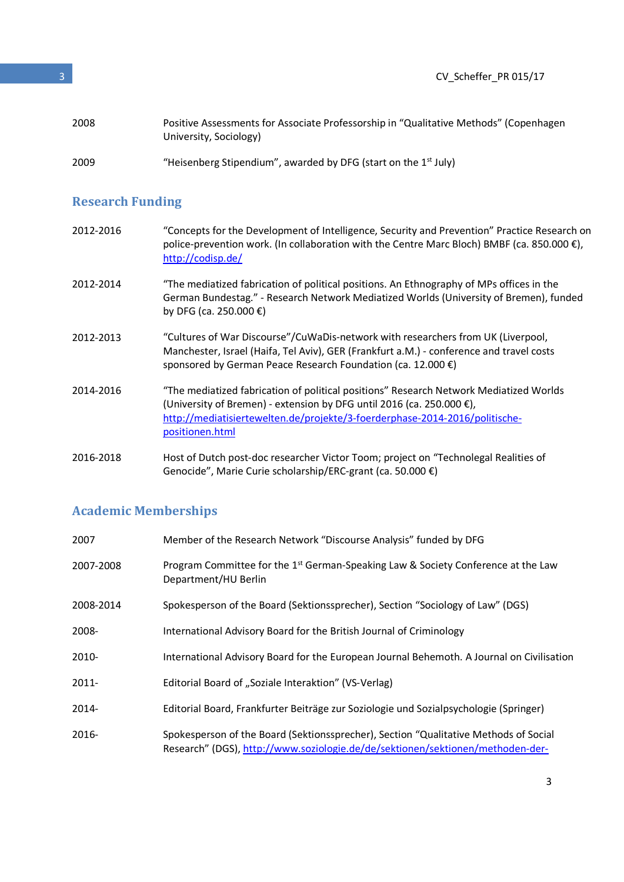### Research Funding

| 2012-2016 | "Concepts for the Development of Intelligence, Security and Prevention" Practice Research on<br>police-prevention work. (In collaboration with the Centre Marc Bloch) BMBF (ca. 850.000 €),<br>http://codisp.de/                                                            |
|-----------|-----------------------------------------------------------------------------------------------------------------------------------------------------------------------------------------------------------------------------------------------------------------------------|
| 2012-2014 | "The mediatized fabrication of political positions. An Ethnography of MPs offices in the<br>German Bundestag." - Research Network Mediatized Worlds (University of Bremen), funded<br>by DFG (ca. 250.000 €)                                                                |
| 2012-2013 | "Cultures of War Discourse"/CuWaDis-network with researchers from UK (Liverpool,<br>Manchester, Israel (Haifa, Tel Aviv), GER (Frankfurt a.M.) - conference and travel costs<br>sponsored by German Peace Research Foundation (ca. 12.000 €)                                |
| 2014-2016 | "The mediatized fabrication of political positions" Research Network Mediatized Worlds<br>(University of Bremen) - extension by DFG until 2016 (ca. 250.000 $\epsilon$ ),<br>http://mediatisiertewelten.de/projekte/3-foerderphase-2014-2016/politische-<br>positionen.html |
| 2016-2018 | Host of Dutch post-doc researcher Victor Toom; project on "Technolegal Realities of<br>Genocide", Marie Curie scholarship/ERC-grant (ca. 50.000 €)                                                                                                                          |

### Academic Memberships

| 2007      | Member of the Research Network "Discourse Analysis" funded by DFG                                                                                                      |
|-----------|------------------------------------------------------------------------------------------------------------------------------------------------------------------------|
| 2007-2008 | Program Committee for the 1 <sup>st</sup> German-Speaking Law & Society Conference at the Law<br>Department/HU Berlin                                                  |
| 2008-2014 | Spokesperson of the Board (Sektionssprecher), Section "Sociology of Law" (DGS)                                                                                         |
| 2008-     | International Advisory Board for the British Journal of Criminology                                                                                                    |
| 2010-     | International Advisory Board for the European Journal Behemoth. A Journal on Civilisation                                                                              |
| 2011-     | Editorial Board of "Soziale Interaktion" (VS-Verlag)                                                                                                                   |
| 2014-     | Editorial Board, Frankfurter Beiträge zur Soziologie und Sozialpsychologie (Springer)                                                                                  |
| 2016-     | Spokesperson of the Board (Sektionssprecher), Section "Qualitative Methods of Social<br>Research" (DGS), http://www.soziologie.de/de/sektionen/sektionen/methoden-der- |